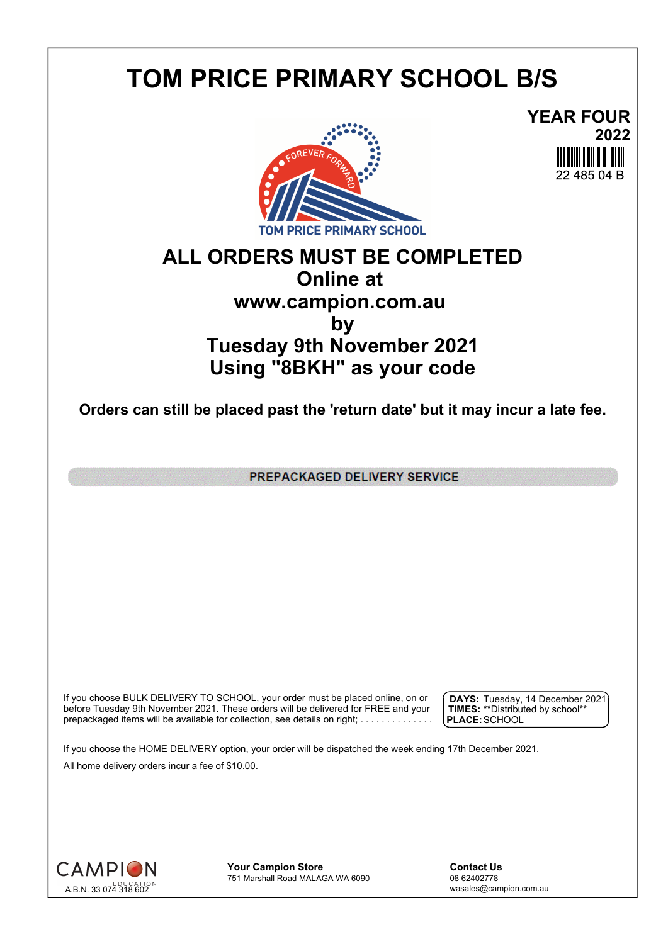## **TOM PRICE PRIMARY SCHOOL B/S**





## **ALL ORDERS MUST BE COMPLETED Online at www.campion.com.au by Tuesday 9th November 2021 Using "8BKH" as your code**

**Orders can still be placed past the 'return date' but it may incur a late fee.**

PREPACKAGED DELIVERY SERVICE

If you choose BULK DELIVERY TO SCHOOL, your order must be placed online, on or  $\int$  DAYS: Tuesday, 1 before Tuesday 9th November 2021. These orders will be delivered for FREE and your  $\;\;\;$  **| TIMES:** \*\*Distribute prepackaged items will be available for collection, see details on right; . . . . . . . . . . . . . . .

**DAYS:** Tuesday, 14 December 2021 **TIMES:** \*\*Distributed by school\*\* **PLACE:**SCHOOL

If you choose the HOME DELIVERY option, your order will be dispatched the week ending 17th December 2021. All home delivery orders incur a fee of \$10.00.



**Your Campion Store**<br>
751 Marshall Road MALAGA WA 6090<br>
08 62402778 751 Marshall Road MALAGA WA 6090

wasales@campion.com.au